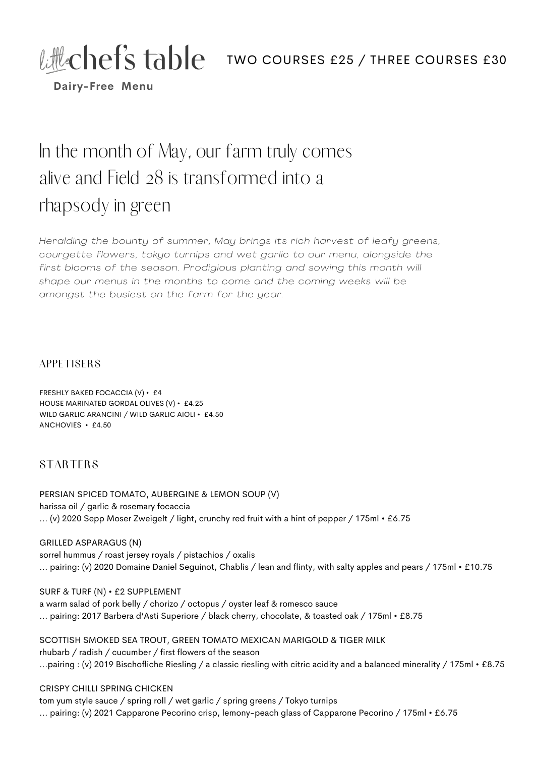# Little Chef's table two courses £25 / THREE COURSES £30



**Dairy-Free Menu**

# In the month of May, our farm truly comes alive and Field 28 is transformed into a rhapsody in green

*Heralding the bounty of summer, May brings its rich harvest of leafy greens, courgette flowers, tokyo turnips and wet garl ic to our menu, alongside the first blooms of the season. Prodigious planting and sowing this month wi l l shape our menus in the months to come and the coming weeks wi l l be amongst the busiest on the farm for the year.*

#### **APPETISERS**

FRESHLY BAKED FOCACCIA (V) • £4 HOUSE MARINATED GORDAL OLIVES (V) • £4.25 WILD GARLIC ARANCINI / WILD GARLIC AIOLI • £4.50 ANCHOVIES • £4.50

### **STARTERS**

PERSIAN SPICED TOMATO, AUBERGINE & LEMON SOUP (V) harissa oil / garlic & rosemary focaccia ... (v) 2020 Sepp Moser Zweigelt / light, crunchy red fruit with a hint of pepper / 175ml • £6.75

GRILLED ASPARAGUS (N) sorrel hummus / roast jersey royals / pistachios / oxalis ... pairing: (v) 2020 Domaine Daniel Seguinot, Chablis / lean and flinty, with salty apples and pears / 175ml • £10.75

SURF & TURF (N) • £2 SUPPLEMENT a warm salad of pork belly / chorizo / octopus / oyster leaf & romesco sauce ... pairing: 2017 Barbera d'Asti Superiore / black cherry, chocolate, & toasted oak / 175ml • £8.75

SCOTTISH SMOKED SEA TROUT, GREEN TOMATO MEXICAN MARIGOLD & TIGER MILK rhubarb / radish / cucumber / first flowers of the season ...pairing : (v) 2019 Bischofliche Riesling / a classic riesling with citric acidity and a balanced minerality / 175ml • £8.75

#### CRISPY CHILLI SPRING CHICKEN

tom yum style sauce / spring roll / wet garlic / spring greens / Tokyo turnips ... pairing: (v) 2021 Capparone Pecorino crisp, lemony-peach glass of Capparone Pecorino / 175ml • £6.75